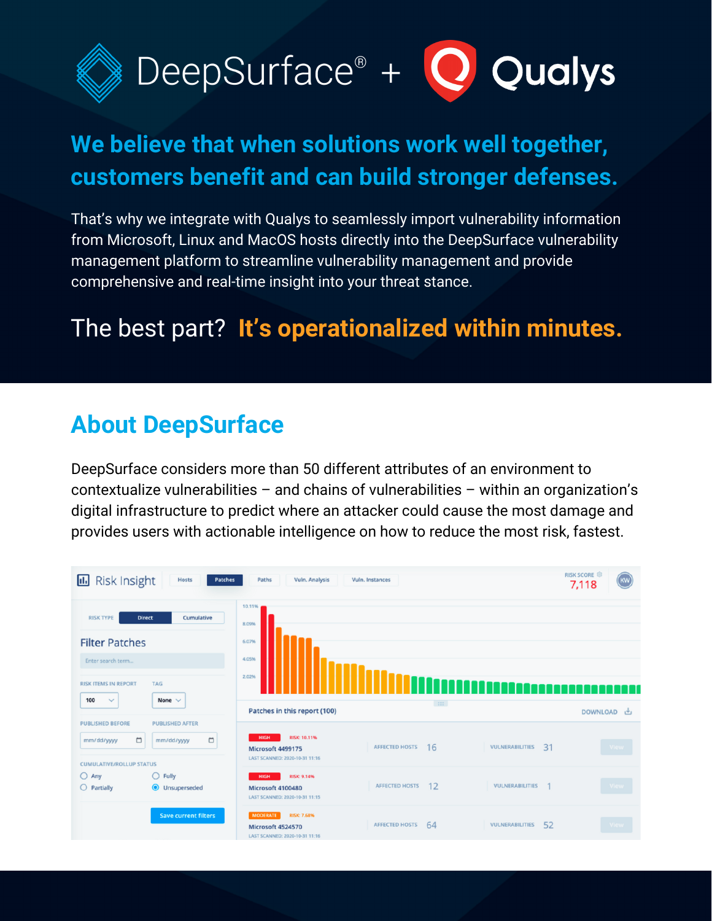

## **We believe that when solutions work well together, customers benefit and can build stronger defenses.**

That's why we integrate with Qualys to seamlessly import vulnerability information from Microsoft, Linux and MacOS hosts directly into the DeepSurface vulnerability management platform to streamline vulnerability management and provide comprehensive and real-time insight into your threat stance.

### The best part? **It's operationalized within minutes.**

#### **About DeepSurface**

DeepSurface considers more than 50 different attributes of an environment to contextualize vulnerabilities – and chains of vulnerabilities – within an organization's digital infrastructure to predict where an attacker could cause the most damage and provides users with actionable intelligence on how to reduce the most risk, fastest.

| <b>Risk Insight</b><br>п.                                                                     | Hosts<br>Patches                               | Paths<br>Vuln. Analysis                                                                      | Vuln. Instances              |                       | <b>RISK SCORE <sup>®</sup></b><br>KW<br>7,118 |
|-----------------------------------------------------------------------------------------------|------------------------------------------------|----------------------------------------------------------------------------------------------|------------------------------|-----------------------|-----------------------------------------------|
| <b>RISK TYPE</b><br><b>Filter Patches</b><br>Enter search term<br><b>RISK ITEMS IN REPORT</b> | Cumulative<br><b>Direct</b><br><b>TAG</b>      | 10.11%<br>8.09%<br>6.07%<br>4.05%<br>2.02%                                                   |                              |                       | e e d                                         |
| 100<br>$\checkmark$                                                                           | None $\vee$                                    | Patches in this report (100)                                                                 | $\left  \cdot \right\rangle$ |                       | DOWNLOAD 也                                    |
| <b>PUBLISHED BEFORE</b><br>$\Box$<br>mm/dd/yyyy                                               | <b>PUBLISHED AFTER</b><br>$\Box$<br>mm/dd/yyyy | <b>RISK: 10.11%</b><br><b>HIGH</b><br>Microsoft 4499175<br>LAST SCANNED: 2020-10-31 11:16    | <b>AFFECTED HOSTS</b><br>16  | 31<br>VULNERABILITIES | View                                          |
| <b>CUMULATIVE/ROLLUP STATUS</b><br>$O$ Any<br>$O$ Partially                                   | $\bigcirc$ Fully<br><b>O</b> Unsuperseded      | <b>RISK: 9.14%</b><br><b>HIGH</b><br>Microsoft 4100480<br>LAST SCANNED: 2020-10-31 11:15     | 12<br><b>AFFECTED HOSTS</b>  | VULNERABILITIES       | View                                          |
|                                                                                               | <b>Save current filters</b>                    | <b>MODERATE</b><br><b>RISK: 7.68%</b><br>Microsoft 4524570<br>LAST SCANNED: 2020-10-31 11:16 | <b>AFFECTED HOSTS</b><br>64  | 52<br>VULNERABILITIES | View                                          |